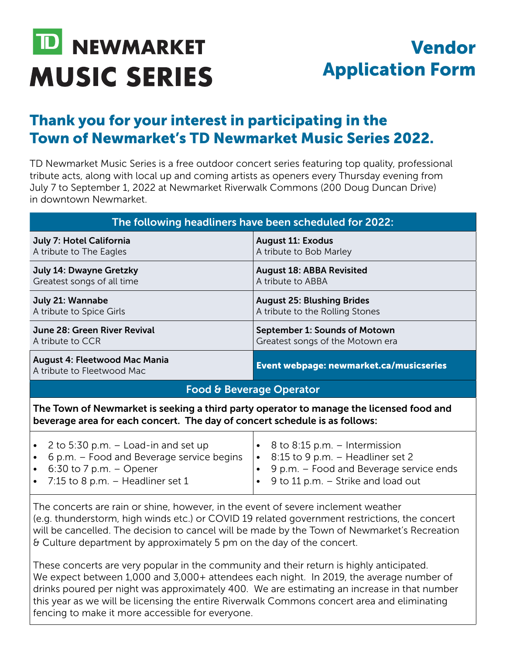## Vendor Application Form

## Thank you for your interest in participating in the Town of Newmarket's TD Newmarket Music Series 2022.

TD Newmarket Music Series is a free outdoor concert series featuring top quality, professional tribute acts, along with local up and coming artists as openers every Thursday evening from July 7 to September 1, 2022 at Newmarket Riverwalk Commons (200 Doug Duncan Drive) in downtown Newmarket.

| The following headliners have been scheduled for 2022:                                                                                                                                                    |                                                                                                                                                                                           |  |
|-----------------------------------------------------------------------------------------------------------------------------------------------------------------------------------------------------------|-------------------------------------------------------------------------------------------------------------------------------------------------------------------------------------------|--|
| July 7: Hotel California<br>A tribute to The Eagles                                                                                                                                                       | <b>August 11: Exodus</b><br>A tribute to Bob Marley                                                                                                                                       |  |
| July 14: Dwayne Gretzky<br>Greatest songs of all time                                                                                                                                                     | <b>August 18: ABBA Revisited</b><br>A tribute to ABBA                                                                                                                                     |  |
| July 21: Wannabe<br>A tribute to Spice Girls                                                                                                                                                              | <b>August 25: Blushing Brides</b><br>A tribute to the Rolling Stones                                                                                                                      |  |
| June 28: Green River Revival<br>A tribute to CCR                                                                                                                                                          | September 1: Sounds of Motown<br>Greatest songs of the Motown era                                                                                                                         |  |
| <b>August 4: Fleetwood Mac Mania</b><br>A tribute to Fleetwood Mac                                                                                                                                        | Event webpage: newmarket.ca/musicseries                                                                                                                                                   |  |
|                                                                                                                                                                                                           | <b>Food &amp; Beverage Operator</b>                                                                                                                                                       |  |
| The Town of Newmarket is seeking a third party operator to manage the licensed food and<br>beverage area for each concert. The day of concert schedule is as follows:                                     |                                                                                                                                                                                           |  |
| 2 to 5:30 p.m. $-$ Load-in and set up<br>$\bullet$<br>6 p.m. – Food and Beverage service begins<br>$\bullet$<br>6:30 to 7 p.m. $-$ Opener<br>$\bullet$<br>7:15 to 8 p.m. $-$ Headliner set 1<br>$\bullet$ | 8 to 8:15 p.m. – Intermission<br>8:15 to 9 p.m. - Headliner set 2<br>$\bullet$<br>9 p.m. – Food and Beverage service ends<br>$\bullet$<br>9 to 11 p.m. - Strike and load out<br>$\bullet$ |  |
| The concerts are rain or shine, however, in the event of severe inclement weather                                                                                                                         |                                                                                                                                                                                           |  |

(e.g. thunderstorm, high winds etc.) or COVID 19 related government restrictions, the concert will be cancelled. The decision to cancel will be made by the Town of Newmarket's Recreation & Culture department by approximately 5 pm on the day of the concert.

These concerts are very popular in the community and their return is highly anticipated. We expect between 1,000 and 3,000+ attendees each night. In 2019, the average number of drinks poured per night was approximately 400. We are estimating an increase in that number this year as we will be licensing the entire Riverwalk Commons concert area and eliminating fencing to make it more accessible for everyone.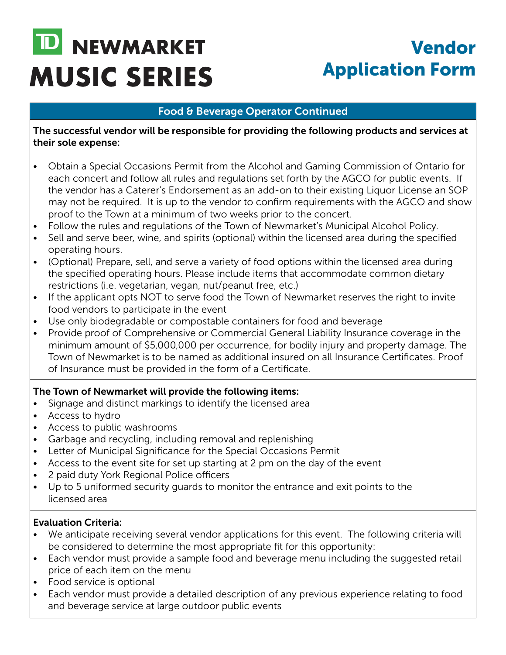# Vendor Application Form

### Food & Beverage Operator Continued

The successful vendor will be responsible for providing the following products and services at their sole expense:

- Obtain a Special Occasions Permit from the Alcohol and Gaming Commission of Ontario for each concert and follow all rules and regulations set forth by the AGCO for public events. If the vendor has a Caterer's Endorsement as an add-on to their existing Liquor License an SOP may not be required. It is up to the vendor to confirm requirements with the AGCO and show proof to the Town at a minimum of two weeks prior to the concert.
- Follow the rules and regulations of the Town of Newmarket's Municipal Alcohol Policy.
- Sell and serve beer, wine, and spirits (optional) within the licensed area during the specified operating hours.
- (Optional) Prepare, sell, and serve a variety of food options within the licensed area during the specified operating hours. Please include items that accommodate common dietary restrictions (i.e. vegetarian, vegan, nut/peanut free, etc.)
- If the applicant opts NOT to serve food the Town of Newmarket reserves the right to invite food vendors to participate in the event
- Use only biodegradable or compostable containers for food and beverage
- Provide proof of Comprehensive or Commercial General Liability Insurance coverage in the minimum amount of \$5,000,000 per occurrence, for bodily injury and property damage. The Town of Newmarket is to be named as additional insured on all Insurance Certificates. Proof of Insurance must be provided in the form of a Certificate.

#### The Town of Newmarket will provide the following items:

- Signage and distinct markings to identify the licensed area
- Access to hydro
- Access to public washrooms
- Garbage and recycling, including removal and replenishing
- Letter of Municipal Significance for the Special Occasions Permit
- Access to the event site for set up starting at 2 pm on the day of the event
- 2 paid duty York Regional Police officers
- Up to 5 uniformed security guards to monitor the entrance and exit points to the licensed area

### Evaluation Criteria:

- We anticipate receiving several vendor applications for this event. The following criteria will be considered to determine the most appropriate fit for this opportunity:
- Each vendor must provide a sample food and beverage menu including the suggested retail price of each item on the menu
- Food service is optional
- Each vendor must provide a detailed description of any previous experience relating to food and beverage service at large outdoor public events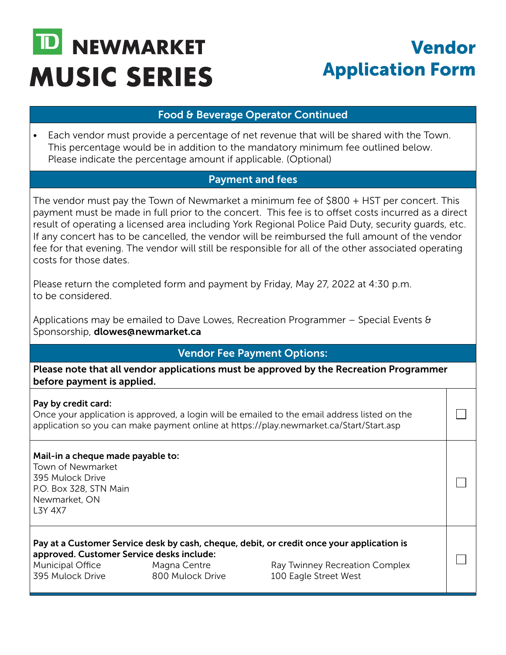## Vendor Application Form

 $\Box$ 

 $\blacksquare$ 

٦

#### Food & Beverage Operator Continued

• Each vendor must provide a percentage of net revenue that will be shared with the Town. This percentage would be in addition to the mandatory minimum fee outlined below. Please indicate the percentage amount if applicable. (Optional)

#### Payment and fees

The vendor must pay the Town of Newmarket a minimum fee of \$800 + HST per concert. This payment must be made in full prior to the concert. This fee is to offset costs incurred as a direct result of operating a licensed area including York Regional Police Paid Duty, security guards, etc. If any concert has to be cancelled, the vendor will be reimbursed the full amount of the vendor fee for that evening. The vendor will still be responsible for all of the other associated operating costs for those dates.

Please return the completed form and payment by Friday, May 27, 2022 at 4:30 p.m. to be considered.

Applications may be emailed to Dave Lowes, Recreation Programmer – Special Events & Sponsorship, dlowes@newmarket.ca

### Vendor Fee Payment Options:

Please note that all vendor applications must be approved by the Recreation Programmer before payment is applied.

#### Pay by credit card:

Once your application is approved, a login will be emailed to the email address listed on the application so you can make payment online at https://play.newmarket.ca/Start/Start.asp

#### Mail-in a cheque made payable to:

Town of Newmarket 395 Mulock Drive P.O. Box 328, STN Main Newmarket, ON L3Y 4X7

Pay at a Customer Service desk by cash, cheque, debit, or credit once your application is approved. Customer Service desks include:

Municipal Office Magna Centre Ray Twinney Recreation Complex 395 Mulock Drive 800 Mulock Drive 100 Eagle Street West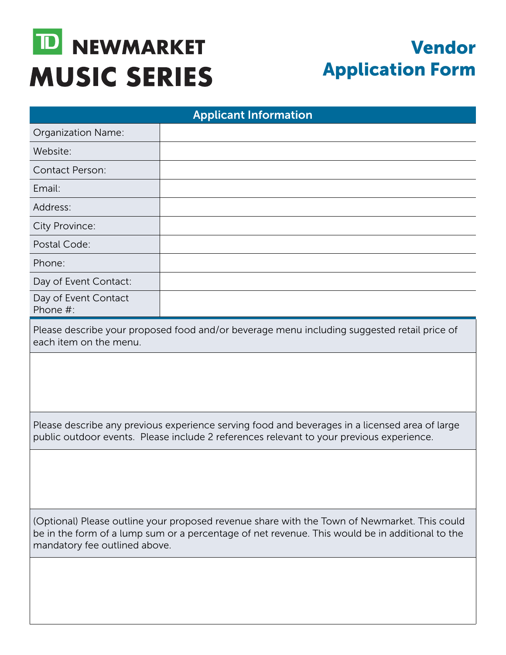## Vendor Application Form

| <b>Applicant Information</b>                                                                                                                                                                                                     |  |  |
|----------------------------------------------------------------------------------------------------------------------------------------------------------------------------------------------------------------------------------|--|--|
| Organization Name:                                                                                                                                                                                                               |  |  |
| Website:                                                                                                                                                                                                                         |  |  |
| <b>Contact Person:</b>                                                                                                                                                                                                           |  |  |
| Email:                                                                                                                                                                                                                           |  |  |
| Address:                                                                                                                                                                                                                         |  |  |
| City Province:                                                                                                                                                                                                                   |  |  |
| Postal Code:                                                                                                                                                                                                                     |  |  |
| Phone:                                                                                                                                                                                                                           |  |  |
| Day of Event Contact:                                                                                                                                                                                                            |  |  |
| Day of Event Contact<br>Phone #:                                                                                                                                                                                                 |  |  |
| Please describe your proposed food and/or beverage menu including suggested retail price of<br>each item on the menu.                                                                                                            |  |  |
|                                                                                                                                                                                                                                  |  |  |
| Please describe any previous experience serving food and beverages in a licensed area of large<br>public outdoor events. Please include 2 references relevant to your previous experience.                                       |  |  |
|                                                                                                                                                                                                                                  |  |  |
| (Optional) Please outline your proposed revenue share with the Town of Newmarket. This could<br>be in the form of a lump sum or a percentage of net revenue. This would be in additional to the<br>mandatory fee outlined above. |  |  |
|                                                                                                                                                                                                                                  |  |  |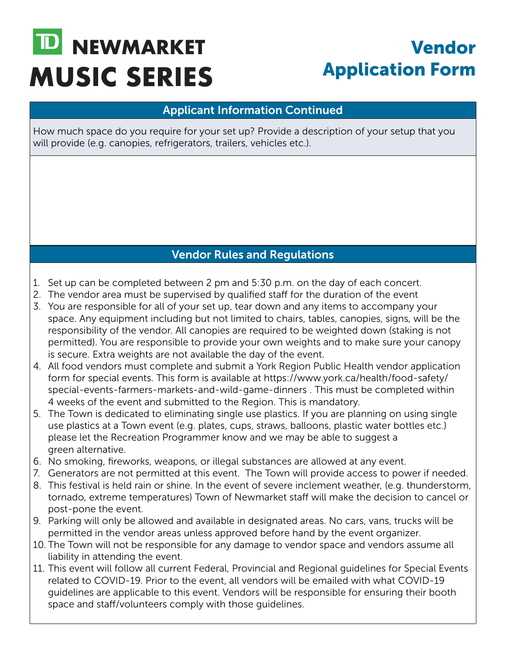## Vendor Application Form

### Applicant Information Continued

How much space do you require for your set up? Provide a description of your setup that you will provide (e.g. canopies, refrigerators, trailers, vehicles etc.).

## Vendor Rules and Regulations

- 1. Set up can be completed between 2 pm and 5:30 p.m. on the day of each concert.
- 2. The vendor area must be supervised by qualified staff for the duration of the event
- 3. You are responsible for all of your set up, tear down and any items to accompany your space. Any equipment including but not limited to chairs, tables, canopies, signs, will be the responsibility of the vendor. All canopies are required to be weighted down (staking is not permitted). You are responsible to provide your own weights and to make sure your canopy is secure. Extra weights are not available the day of the event.
- 4. All food vendors must complete and submit a York Region Public Health vendor application form for special events. This form is available at https://www.york.ca/health/food-safety/ special-events-farmers-markets-and-wild-game-dinners . This must be completed within 4 weeks of the event and submitted to the Region. This is mandatory.
- 5. The Town is dedicated to eliminating single use plastics. If you are planning on using single use plastics at a Town event (e.g. plates, cups, straws, balloons, plastic water bottles etc.) please let the Recreation Programmer know and we may be able to suggest a green alternative.
- 6. No smoking, fireworks, weapons, or illegal substances are allowed at any event.
- 7. Generators are not permitted at this event. The Town will provide access to power if needed.
- 8. This festival is held rain or shine. In the event of severe inclement weather, (e.g. thunderstorm, tornado, extreme temperatures) Town of Newmarket staff will make the decision to cancel or post-pone the event.
- 9. Parking will only be allowed and available in designated areas. No cars, vans, trucks will be permitted in the vendor areas unless approved before hand by the event organizer.
- 10. The Town will not be responsible for any damage to vendor space and vendors assume all liability in attending the event.
- 11. This event will follow all current Federal, Provincial and Regional guidelines for Special Events related to COVID-19. Prior to the event, all vendors will be emailed with what COVID-19 guidelines are applicable to this event. Vendors will be responsible for ensuring their booth space and staff/volunteers comply with those guidelines.